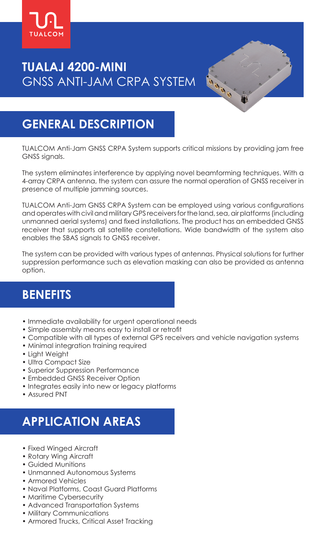

# **TUALAJ 4200-MINI** GNSS ANTI-JAM CRPA SYSTEM

### **GENERAL DESCRIPTION**

TUALCOM Anti-Jam GNSS CRPA System supports critical missions by providing jam free GNSS signals.

The system eliminates interference by applying novel beamforming techniques. With a 4-array CRPA antenna, the system can assure the normal operation of GNSS receiver in presence of multiple jamming sources.

TUALCOM Anti-Jam GNSS CRPA System can be employed using various configurations and operates with civil and military GPS receivers for the land, sea, air platforms (including unmanned aerial systems) and fixed installations. The product has an embedded GNSS receiver that supports all satellite constellations. Wide bandwidth of the system also enables the SBAS signals to GNSS receiver.

The system can be provided with various types of antennas. Physical solutions for further suppression performance such as elevation masking can also be provided as antenna option.

#### **BENEFITS**

- Immediate availability for urgent operational needs
- Simple assembly means easy to install or retrofit
- Compatible with all types of external GPS receivers and vehicle navigation systems
- Minimal integration training required
- Light Weight
- Ultra Compact Size
- Superior Suppression Performance
- Embedded GNSS Receiver Option
- Integrates easily into new or legacy platforms
- Assured PNT

# **APPLICATION AREAS**

- Fixed Winged Aircraft
- Rotary Wing Aircraft
- Guided Munitions
- Unmanned Autonomous Systems
- Armored Vehicles
- Naval Platforms, Coast Guard Platforms
- Maritime Cybersecurity
- Advanced Transportation Systems
- Military Communications
- Armored Trucks, Critical Asset Tracking